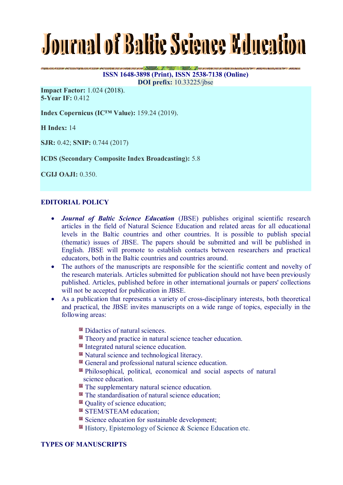# Journal of Baltic Science Kducation

**ISSN 1648-3898 (Print), ISSN 2538-7138 (Online) DOI prefix:** 10.33225/jbse

**Company of the Company of the** 

**Impact Factor:** 1.024 (2018). **5-Year IF:** 0.412

**Index Copernicus (IC™ Value):** 159.24 (2019).

**H Index:** 14

**SJR:** 0.42; **SNIP:** 0.744 (2017)

**ICDS (Secondary Composite Index Broadcasting):** 5.8

**CGIJ OAJI:** 0.350.

# **EDITORIAL POLICY**

- *Journal of Baltic Science Education* (JBSE) publishes original scientific research articles in the field of Natural Science Education and related areas for all educational levels in the Baltic countries and other countries. It is possible to publish special (thematic) issues of JBSE. The papers should be submitted and will be published in English. JBSE will promote to establish contacts between researchers and practical educators, both in the Baltic countries and countries around.
- The authors of the manuscripts are responsible for the scientific content and novelty of the research materials. Articles submitted for publication should not have been previously published. Articles, published before in other international journals or papers' collections will not be accepted for publication in JBSE.
- As a publication that represents a variety of cross-disciplinary interests, both theoretical and practical, the JBSE invites manuscripts on a wide range of topics, especially in the following areas:
	- Didactics of natural sciences.
	- Theory and practice in natural science teacher education.
	- Integrated natural science education.
	- Natural science and technological literacy.
	- General and professional natural science education.
	- Philosophical, political, economical and social aspects of natural science education.
	- **The supplementary natural science education.**
	- **The standardisation of natural science education;**
	- Ouality of science education:
	- STEM/STEAM education:
	- Science education for sustainable development:
	- $\blacksquare$  History, Epistemology of Science & Science Education etc.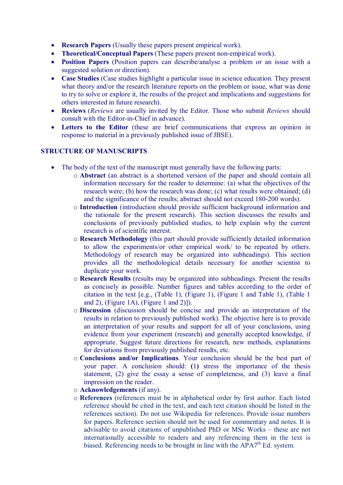- **Research Papers** (Usually these papers present empirical work).
- **Theoretical/Conceptual Papers** (These papers present non-empirical work).
- **Position Papers** (Position papers can describe/analyse a problem or an issue with a suggested solution or direction).
- **Case Studies** (Case studies highlight a particular issue in science education. They present what theory and/or the research literature reports on the problem or issue, what was done to try to solve or explore it, the results of the project and implications and suggestions for others interested in future research).
- **Reviews** (*Reviews* are usually invited by the Editor. Those who submit *Reviews* should consult with the Editor-in-Chief in advance).
- **Letters to the Editor** (these are brief communications that express an opinion in response to material in a previously published issue of JBSE).

### **STRUCTURE OF MANUSCRIPTS**

- The body of the text of the manuscript must generally have the following parts:
	- o **Abstract** (an abstract is a shortened version of the paper and should contain all information necessary for the reader to determine: (a) what the objectives of the research were; (b) how the research was done; (c) what results were obtained; (d) and the significance of the results; abstract should not exceed 180-200 words).
	- o **Introduction** (introduction should provide sufficient background information and the rationale for the present research). This section discusses the results and conclusions of previously published studies, to help explain why the current research is of scientific interest.
	- o **Research Methodology** (this part should provide sufficiently detailed information to allow the experiments/or other empirical work/ to be repeated by others. Methodology of research may be organized into subheadings). This section provides all the methodological details necessary for another scientist to duplicate your work.
	- o **Research Results** (results may be organized into subheadings. Present the results as concisely as possible. Number figures and tables according to the order of citation in the text [e.g., (Table 1), (Figure 1), (Figure 1 and Table 1), (Table 1 and 2), (Figure 1A), (Figure 1 and 2)]).
	- o **Discussion** (discussion should be concise and provide an interpretation of the results in relation to previously published work). The objective here is to provide an interpretation of your results and support for all of your conclusions, using evidence from your experiment (research) and generally accepted knowledge, if appropriate. Suggest future directions for research, new methods, explanations for deviations from previously published results, etc.
	- o **Conclusions and/or Implications**. Your conclusion should be the best part of your paper. A conclusion should: **(**1**)** stress the importance of the thesis statement, (2) give the essay a sense of completeness, and (3) leave a final impression on the reader.
	- o **Acknowledgements** (if any).
	- o **References** (references must be in alphabetical order by first author. Each listed reference should be cited in the text, and each text citation should be listed in the references section). Do not use Wikipedia for references. Provide issue numbers for papers. Reference section should not be used for commentary and notes. It is advisable to avoid citations of unpublished PhD or MSc Works – these are not internationally accessible to readers and any referencing them in the text is biased. Referencing needs to be brought in line with the  $APA^{th}$  Ed. system.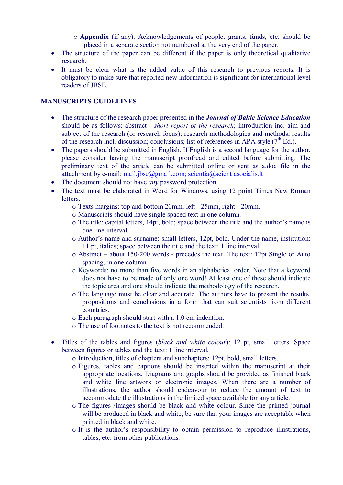- o **Appendix** (if any). Acknowledgements of people, grants, funds, etc. should be placed in a separate section not numbered at the very end of the paper.
- The structure of the paper can be different if the paper is only theoretical qualitative research.
- It must be clear what is the added value of this research to previous reports. It is obligatory to make sure that reported new information is significant for international level readers of JBSE.

## **MANUSCRIPTS GUIDELINES**

- The structure of the research paper presented in the *Journal of Baltic Science Education* should be as follows: abstract *- short report of the research*; introduction inc. aim and subject of the research (or research focus); research methodologies and methods; results of the research incl. discussion; conclusions; list of references in APA style  $(7<sup>th</sup> Ed.)$ .
- The papers should be submitted in English. If English is a second language for the author, please consider having the manuscript proofread and edited before submitting. The preliminary text of the article can be submitted online or sent as a.doc file in the attachment by e-mail: mail.jbse $@g$ gmail.com; scientia $@g$ scientiasocialis.lt
- The document should not have *any* password protection.
- The text must be elaborated in Word for Windows, using 12 point Times New Roman letters.
	- o Texts margins: top and bottom 20mm, left 25mm, right 20mm.
	- o Manuscripts should have single spaced text in one column.
	- o The title: capital letters, 14pt, bold; space between the title and the author's name is one line interval.
	- o Author's name and surname: small letters, 12pt, bold. Under the name, institution: 11 pt, italics; space between the title and the text: 1 line interval.
	- o Abstract about 150-200 words precedes the text. The text: 12pt Single or Auto spacing, in one column.
	- o Keywords: no more than five words in an alphabetical order. Note that a keyword does not have to be made of only one word! At least one of these should indicate the topic area and one should indicate the methodology of the research.
	- o The language must be clear and accurate. The authors have to present the results, propositions and conclusions in a form that can suit scientists from different countries.
	- o Each paragraph should start with a 1.0 cm indention.
	- o The use of footnotes to the text is not recommended.
- Titles of the tables and figures (*black and white colour*): 12 pt, small letters. Space between figures or tables and the text: 1 line interval.
	- o Introduction, titles of chapters and subchapters: 12pt, bold, small letters.
	- o Figures, tables and captions should be inserted within the manuscript at their appropriate locations. Diagrams and graphs should be provided as finished black and white line artwork or electronic images. When there are a number of illustrations, the author should endeavour to reduce the amount of text to accommodate the illustrations in the limited space available for any article.
	- o The figures /images should be black and white colour. Since the printed journal will be produced in black and white, be sure that your images are acceptable when printed in black and white.
	- o It is the author's responsibility to obtain permission to reproduce illustrations, tables, etc. from other publications.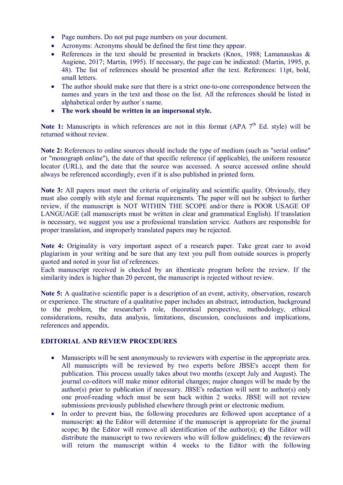- Page numbers. Do not put page numbers on your document.
- Acronyms: Acronyms should be defined the first time they appear.
- References in the text should be presented in brackets (Knox, 1988; Lamanauskas & Augiene, 2017; Martin, 1995). If necessary, the page can be indicated: (Martin, 1995, p. 48). The list of references should be presented after the text. References: 11pt, bold, small letters.
- The author should make sure that there is a strict one-to-one correspondence between the names and years in the text and those on the list. All the references should be listed in alphabetical order by author`s name.
- **The work should be written in an impersonal style.**

Note 1: Manuscripts in which references are not in this format (APA 7<sup>th</sup> Ed. style) will be returned without review.

**Note 2:** References to online sources should include the type of medium (such as "serial online" or "monograph online"), the date of that specific reference (if applicable), the uniform resource locator (URL), and the date that the source was accessed. A source accessed online should always be referenced accordingly, even if it is also published in printed form.

**Note 3:** All papers must meet the criteria of originality and scientific quality. Obviously, they must also comply with style and format requirements. The paper will not be subject to further review, if the manuscript is NOT WITHIN THE SCOPE and/or there is POOR USAGE OF LANGUAGE (all manuscripts must be written in clear and grammatical English). If translation is necessary, we suggest you use a professional translation service. Authors are responsible for proper translation, and improperly translated papers may be rejected.

**Note 4:** Originality is very important aspect of a research paper. Take great care to avoid plagiarism in your writing and be sure that any text you pull from outside sources is properly quoted and noted in your list of references.

Each manuscript received is checked by an ithenticate program before the review. If the similarity index is higher than 20 percent, the manuscript is rejected without review.

**Note 5:** A qualitative scientific paper is a description of an event, activity, observation, research or experience. The structure of a qualitative paper includes an abstract, introduction, background to the problem, the researcher's role, theoretical perspective, methodology, ethical considerations, results, data analysis, limitations, discussion, conclusions and implications, references and appendix.

# **EDITORIAL AND REVIEW PROCEDURES**

- Manuscripts will be sent anonymously to reviewers with expertise in the appropriate area. All manuscripts will be reviewed by two experts before JBSE's accept them for publication. This process usually takes about two months (except July and August). The journal co-editors will make minor editorial changes; major changes will be made by the author(s) prior to publication if necessary. JBSE's redaction will sent to author(s) only one proof-reading which must be sent back within 2 weeks. JBSE will not review submissions previously published elsewhere through print or electronic medium.
- In order to prevent bias, the following procedures are followed upon acceptance of a manuscript: **a)** the Editor will determine if the manuscript is appropriate for the journal scope; **b)** the Editor will remove all identification of the author(s); **c)** the Editor will distribute the manuscript to two reviewers who will follow guidelines; **d)** the reviewers will return the manuscript within 4 weeks to the Editor with the following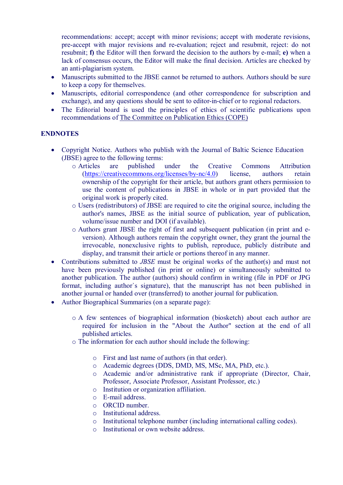recommendations: accept; accept with minor revisions; accept with moderate revisions, pre-accept with major revisions and re-evaluation; reject and resubmit, reject: do not resubmit; **f)** the Editor will then forward the decision to the authors by e-mail; **e)** when a lack of consensus occurs, the Editor will make the final decision. Articles are checked by an anti-plagiarism system.

- Manuscripts submitted to the JBSE cannot be returned to authors. Authors should be sure to keep a copy for themselves.
- Manuscripts, editorial correspondence (and other correspondence for subscription and exchange), and any questions should be sent to editor-in-chief or to regional redactors.
- The Editorial board is used the principles of ethics of scientific publications upon recommendations of The Committee on Publication Ethics (COPE)

### **ENDNOTES**

- Copyright Notice. Authors who publish with the Journal of Baltic Science Education (JBSE) agree to the following terms:
	- o Articles are published under the Creative Commons Attribution (https://creativecommons.org/licenses/by-nc/4.0) license, authors retain ownership of the copyright for their article, but authors grant others permission to use the content of publications in JBSE in whole or in part provided that the original work is properly cited.
	- o Users (redistributors) of JBSE are required to cite the original source, including the author's names, JBSE as the initial source of publication, year of publication, volume/issue number and DOI (if available).
	- o Authors grant JBSE the right of first and subsequent publication (in print and eversion). Although authors remain the copyright owner, they grant the journal the irrevocable, nonexclusive rights to publish, reproduce, publicly distribute and display, and transmit their article or portions thereof in any manner.
- Contributions submitted to *JBSE* must be original works of the author(s) and must not have been previously published (in print or online) or simultaneously submitted to another publication. The author (authors) should confirm in writing (file in PDF or JPG format, including author`s signature), that the manuscript has not been published in another journal or handed over (transferred) to another journal for publication.
- Author Biographical Summaries (on a separate page):
	- o A few sentences of biographical information (biosketch) about each author are required for inclusion in the "About the Author" section at the end of all published articles.
	- o The information for each author should include the following:
		- o First and last name of authors (in that order).
		- o Academic degrees (DDS, DMD, MS, MSc, MA, PhD, etc.).
		- o Academic and/or administrative rank if appropriate (Director, Chair, Professor, Associate Professor, Assistant Professor, etc.)
		- o Institution or organization affiliation.
		- o E-mail address.
		- o ORCID number.
		- o Institutional address.
		- o Institutional telephone number (including international calling codes).
		- o Institutional or own website address.